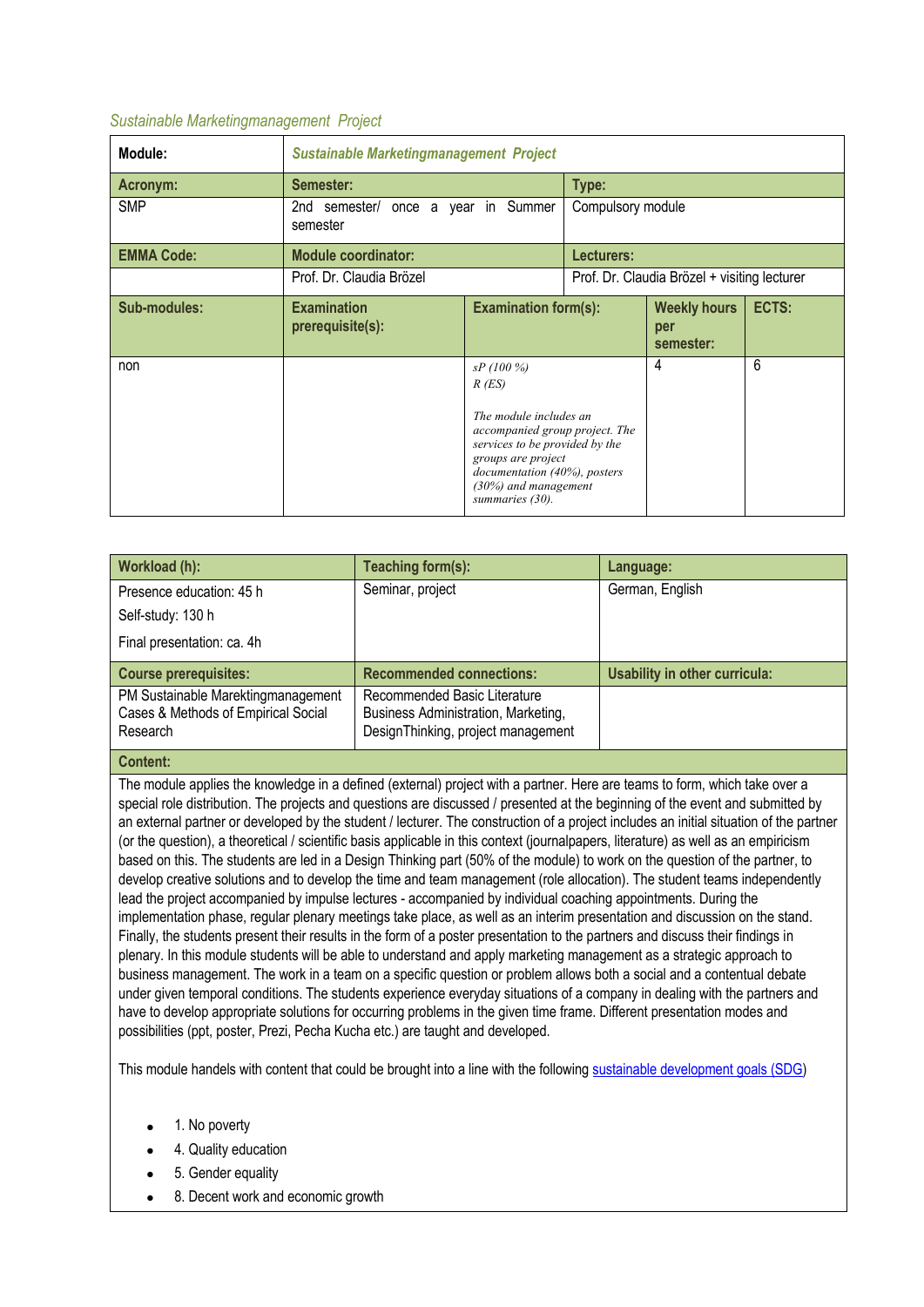## *Sustainable Marketingmanagement Project*

| Module:           | <b>Sustainable Marketingmanagement Project</b> |                                                                                                                                                                                                                     |                                              |                                         |       |  |
|-------------------|------------------------------------------------|---------------------------------------------------------------------------------------------------------------------------------------------------------------------------------------------------------------------|----------------------------------------------|-----------------------------------------|-------|--|
| Acronym:          | Semester:<br>Type:                             |                                                                                                                                                                                                                     |                                              |                                         |       |  |
| <b>SMP</b>        | 2nd semester/<br>semester                      | once a year in Summer<br>Compulsory module                                                                                                                                                                          |                                              |                                         |       |  |
| <b>EMMA Code:</b> | <b>Module coordinator:</b><br>Lecturers:       |                                                                                                                                                                                                                     |                                              |                                         |       |  |
|                   | Prof. Dr. Claudia Brözel                       |                                                                                                                                                                                                                     | Prof. Dr. Claudia Brözel + visiting lecturer |                                         |       |  |
| Sub-modules:      | <b>Examination</b><br>prerequisite(s):         | <b>Examination form(s):</b>                                                                                                                                                                                         |                                              | <b>Weekly hours</b><br>per<br>semester: | ECTS: |  |
| non               |                                                | sP(100%)<br>$R$ (ES)<br>The module includes an<br>accompanied group project. The<br>services to be provided by the<br>groups are project<br>documentation (40%), posters<br>(30%) and management<br>summaries (30). |                                              | 4                                       | 6     |  |

| Workload (h):                                                             | Teaching form(s):                                                   | Language:                     |
|---------------------------------------------------------------------------|---------------------------------------------------------------------|-------------------------------|
| Presence education: 45 h                                                  | Seminar, project                                                    | German, English               |
| Self-study: 130 h                                                         |                                                                     |                               |
| Final presentation: ca. 4h                                                |                                                                     |                               |
| <b>Course prerequisites:</b>                                              | <b>Recommended connections:</b>                                     | Usability in other curricula: |
| PM Sustainable Marektingmanagement<br>Cases & Methods of Empirical Social | Recommended Basic Literature<br>Business Administration, Marketing, |                               |
| Research                                                                  | DesignThinking, project management                                  |                               |

## **Content:**

The module applies the knowledge in a defined (external) project with a partner. Here are teams to form, which take over a special role distribution. The projects and questions are discussed / presented at the beginning of the event and submitted by an external partner or developed by the student / lecturer. The construction of a project includes an initial situation of the partner (or the question), a theoretical / scientific basis applicable in this context (journalpapers, literature) as well as an empiricism based on this. The students are led in a Design Thinking part (50% of the module) to work on the question of the partner, to develop creative solutions and to develop the time and team management (role allocation). The student teams independently lead the project accompanied by impulse lectures - accompanied by individual coaching appointments. During the implementation phase, regular plenary meetings take place, as well as an interim presentation and discussion on the stand. Finally, the students present their results in the form of a poster presentation to the partners and discuss their findings in plenary. In this module students will be able to understand and apply marketing management as a strategic approach to business management. The work in a team on a specific question or problem allows both a social and a contentual debate under given temporal conditions. The students experience everyday situations of a company in dealing with the partners and have to develop appropriate solutions for occurring problems in the given time frame. Different presentation modes and possibilities (ppt, poster, Prezi, Pecha Kucha etc.) are taught and developed.

This module handels with content that could be brought into a line with the following sustainable development goals (SDG)

- 1. No poverty
- 4. Quality education
- 5. Gender equality
- 8. Decent work and economic growth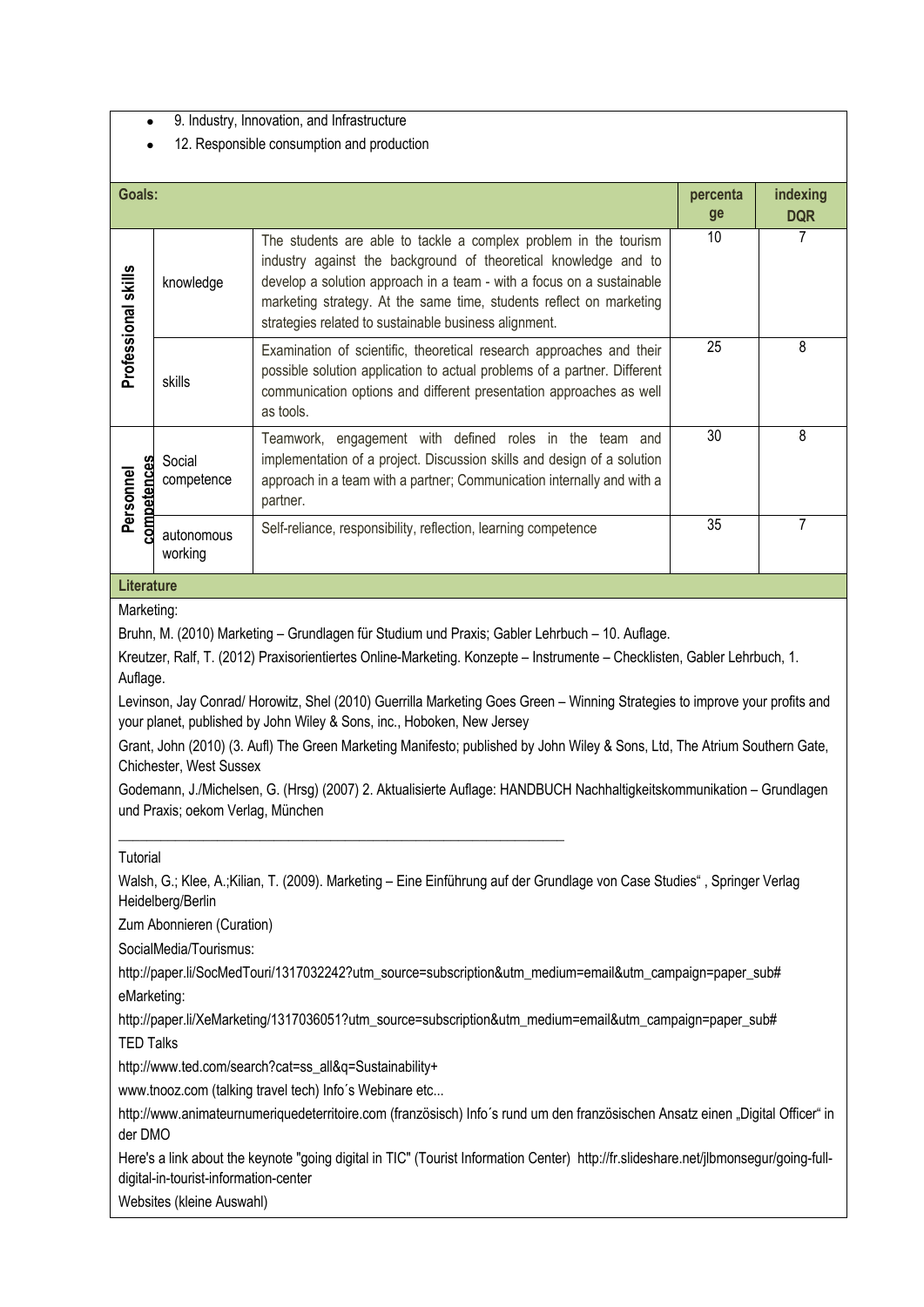• 9. Industry, Innovation, and Infrastructure

## • 12. Responsible consumption and production

| <b>Goals:</b>                                                                                                                                                                                                                                                                                                                                                                                                                                                                                                                                                                                                                                                                                                                                                          |                           | percenta                                                                                                                                                                                                                                                                                                                                     | indexing |            |  |  |
|------------------------------------------------------------------------------------------------------------------------------------------------------------------------------------------------------------------------------------------------------------------------------------------------------------------------------------------------------------------------------------------------------------------------------------------------------------------------------------------------------------------------------------------------------------------------------------------------------------------------------------------------------------------------------------------------------------------------------------------------------------------------|---------------------------|----------------------------------------------------------------------------------------------------------------------------------------------------------------------------------------------------------------------------------------------------------------------------------------------------------------------------------------------|----------|------------|--|--|
|                                                                                                                                                                                                                                                                                                                                                                                                                                                                                                                                                                                                                                                                                                                                                                        |                           |                                                                                                                                                                                                                                                                                                                                              | ge       | <b>DQR</b> |  |  |
| Professional skills                                                                                                                                                                                                                                                                                                                                                                                                                                                                                                                                                                                                                                                                                                                                                    | knowledge                 | The students are able to tackle a complex problem in the tourism<br>industry against the background of theoretical knowledge and to<br>develop a solution approach in a team - with a focus on a sustainable<br>marketing strategy. At the same time, students reflect on marketing<br>strategies related to sustainable business alignment. | 10       | 7          |  |  |
|                                                                                                                                                                                                                                                                                                                                                                                                                                                                                                                                                                                                                                                                                                                                                                        | skills                    | Examination of scientific, theoretical research approaches and their<br>possible solution application to actual problems of a partner. Different<br>communication options and different presentation approaches as well<br>as tools.                                                                                                         | 25       | 8          |  |  |
| competences<br>Personnel                                                                                                                                                                                                                                                                                                                                                                                                                                                                                                                                                                                                                                                                                                                                               | Social<br>competence      | Teamwork, engagement with defined roles in the team and<br>implementation of a project. Discussion skills and design of a solution<br>approach in a team with a partner; Communication internally and with a<br>partner.                                                                                                                     | 30       | 8          |  |  |
|                                                                                                                                                                                                                                                                                                                                                                                                                                                                                                                                                                                                                                                                                                                                                                        | autonomous<br>working     | Self-reliance, responsibility, reflection, learning competence                                                                                                                                                                                                                                                                               | 35       | 7          |  |  |
| <b>Literature</b>                                                                                                                                                                                                                                                                                                                                                                                                                                                                                                                                                                                                                                                                                                                                                      |                           |                                                                                                                                                                                                                                                                                                                                              |          |            |  |  |
| Bruhn, M. (2010) Marketing - Grundlagen für Studium und Praxis; Gabler Lehrbuch - 10. Auflage.<br>Kreutzer, Ralf, T. (2012) Praxisorientiertes Online-Marketing. Konzepte - Instrumente - Checklisten, Gabler Lehrbuch, 1.<br>Auflage.<br>Levinson, Jay Conrad/ Horowitz, Shel (2010) Guerrilla Marketing Goes Green - Winning Strategies to improve your profits and<br>your planet, published by John Wiley & Sons, inc., Hoboken, New Jersey<br>Grant, John (2010) (3. Aufl) The Green Marketing Manifesto; published by John Wiley & Sons, Ltd, The Atrium Southern Gate,<br>Chichester, West Sussex<br>Godemann, J./Michelsen, G. (Hrsg) (2007) 2. Aktualisierte Auflage: HANDBUCH Nachhaltigkeitskommunikation - Grundlagen<br>und Praxis; oekom Verlag, München |                           |                                                                                                                                                                                                                                                                                                                                              |          |            |  |  |
| Tutorial<br>Walsh, G.; Klee, A.;Kilian, T. (2009). Marketing – Eine Einführung auf der Grundlage von Case Studies", Springer Verlag<br>Heidelberg/Berlin                                                                                                                                                                                                                                                                                                                                                                                                                                                                                                                                                                                                               |                           |                                                                                                                                                                                                                                                                                                                                              |          |            |  |  |
|                                                                                                                                                                                                                                                                                                                                                                                                                                                                                                                                                                                                                                                                                                                                                                        | Zum Abonnieren (Curation) |                                                                                                                                                                                                                                                                                                                                              |          |            |  |  |
| SocialMedia/Tourismus:                                                                                                                                                                                                                                                                                                                                                                                                                                                                                                                                                                                                                                                                                                                                                 |                           |                                                                                                                                                                                                                                                                                                                                              |          |            |  |  |
| http://paper.li/SocMedTouri/1317032242?utm_source=subscription&utm_medium=email&utm_campaign=paper_sub#<br>eMarketing:                                                                                                                                                                                                                                                                                                                                                                                                                                                                                                                                                                                                                                                 |                           |                                                                                                                                                                                                                                                                                                                                              |          |            |  |  |
| http://paper.li/XeMarketing/1317036051?utm_source=subscription&utm_medium=email&utm_campaign=paper_sub#<br><b>TED Talks</b>                                                                                                                                                                                                                                                                                                                                                                                                                                                                                                                                                                                                                                            |                           |                                                                                                                                                                                                                                                                                                                                              |          |            |  |  |
| http://www.ted.com/search?cat=ss_all&q=Sustainability+                                                                                                                                                                                                                                                                                                                                                                                                                                                                                                                                                                                                                                                                                                                 |                           |                                                                                                                                                                                                                                                                                                                                              |          |            |  |  |
| www.tnooz.com (talking travel tech) Info's Webinare etc                                                                                                                                                                                                                                                                                                                                                                                                                                                                                                                                                                                                                                                                                                                |                           |                                                                                                                                                                                                                                                                                                                                              |          |            |  |  |
| http://www.animateurnumeriquedeterritoire.com (französisch) Info's rund um den französischen Ansatz einen "Digital Officer" in<br>der DMO                                                                                                                                                                                                                                                                                                                                                                                                                                                                                                                                                                                                                              |                           |                                                                                                                                                                                                                                                                                                                                              |          |            |  |  |
| Here's a link about the keynote "going digital in TIC" (Tourist Information Center) http://fr.slideshare.net/jlbmonsegur/going-full-<br>digital-in-tourist-information-center                                                                                                                                                                                                                                                                                                                                                                                                                                                                                                                                                                                          |                           |                                                                                                                                                                                                                                                                                                                                              |          |            |  |  |
| Websites (kleine Auswahl)                                                                                                                                                                                                                                                                                                                                                                                                                                                                                                                                                                                                                                                                                                                                              |                           |                                                                                                                                                                                                                                                                                                                                              |          |            |  |  |